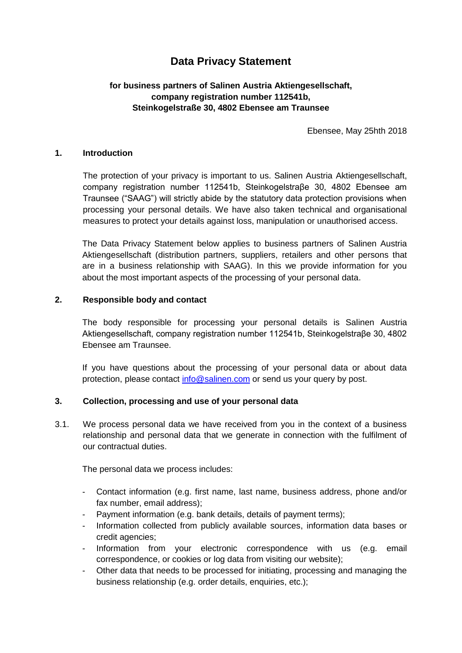# **Data Privacy Statement**

# **for business partners of Salinen Austria Aktiengesellschaft, company registration number 112541b, Steinkogelstraße 30, 4802 Ebensee am Traunsee**

Ebensee, May 25hth 2018

#### **1. Introduction**

The protection of your privacy is important to us. Salinen Austria Aktiengesellschaft, company registration number 112541b, Steinkogelstraβe 30, 4802 Ebensee am Traunsee ("SAAG") will strictly abide by the statutory data protection provisions when processing your personal details. We have also taken technical and organisational measures to protect your details against loss, manipulation or unauthorised access.

The Data Privacy Statement below applies to business partners of Salinen Austria Aktiengesellschaft (distribution partners, suppliers, retailers and other persons that are in a business relationship with SAAG). In this we provide information for you about the most important aspects of the processing of your personal data.

#### **2. Responsible body and contact**

The body responsible for processing your personal details is Salinen Austria Aktiengesellschaft, company registration number 112541b, Steinkogelstraβe 30, 4802 Ebensee am Traunsee.

If you have questions about the processing of your personal data or about data protection, please contact [info@salinen.com](mailto:info@salinen.com) or send us your query by post.

#### **3. Collection, processing and use of your personal data**

3.1. We process personal data we have received from you in the context of a business relationship and personal data that we generate in connection with the fulfilment of our contractual duties.

The personal data we process includes:

- Contact information (e.g. first name, last name, business address, phone and/or fax number, email address);
- Payment information (e.g. bank details, details of payment terms);
- Information collected from publicly available sources, information data bases or credit agencies;
- Information from your electronic correspondence with us (e.g. email correspondence, or cookies or log data from visiting our website);
- Other data that needs to be processed for initiating, processing and managing the business relationship (e.g. order details, enquiries, etc.);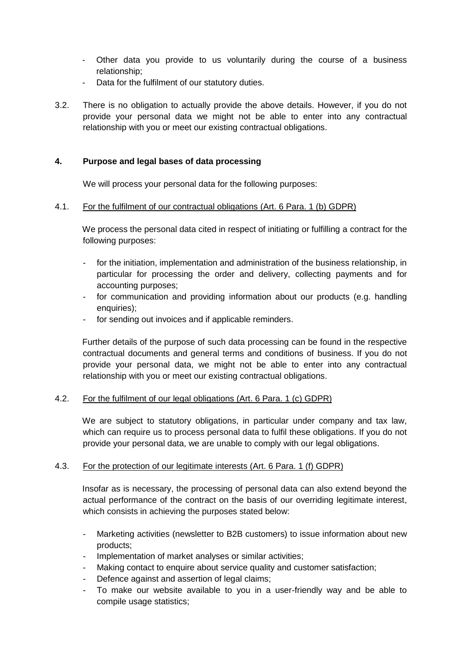- Other data you provide to us voluntarily during the course of a business relationship;
- Data for the fulfilment of our statutory duties.
- 3.2. There is no obligation to actually provide the above details. However, if you do not provide your personal data we might not be able to enter into any contractual relationship with you or meet our existing contractual obligations.

## **4. Purpose and legal bases of data processing**

We will process your personal data for the following purposes:

#### 4.1. For the fulfilment of our contractual obligations (Art. 6 Para. 1 (b) GDPR)

We process the personal data cited in respect of initiating or fulfilling a contract for the following purposes:

- for the initiation, implementation and administration of the business relationship, in particular for processing the order and delivery, collecting payments and for accounting purposes;
- for communication and providing information about our products (e.g. handling enquiries);
- for sending out invoices and if applicable reminders.

Further details of the purpose of such data processing can be found in the respective contractual documents and general terms and conditions of business. If you do not provide your personal data, we might not be able to enter into any contractual relationship with you or meet our existing contractual obligations.

#### 4.2. For the fulfilment of our legal obligations (Art. 6 Para. 1 (c) GDPR)

We are subject to statutory obligations, in particular under company and tax law, which can require us to process personal data to fulfil these obligations. If you do not provide your personal data, we are unable to comply with our legal obligations.

#### 4.3. For the protection of our legitimate interests (Art. 6 Para. 1 (f) GDPR)

Insofar as is necessary, the processing of personal data can also extend beyond the actual performance of the contract on the basis of our overriding legitimate interest, which consists in achieving the purposes stated below:

- Marketing activities (newsletter to B2B customers) to issue information about new products;
- Implementation of market analyses or similar activities;
- Making contact to enquire about service quality and customer satisfaction;
- Defence against and assertion of legal claims;
- To make our website available to you in a user-friendly way and be able to compile usage statistics;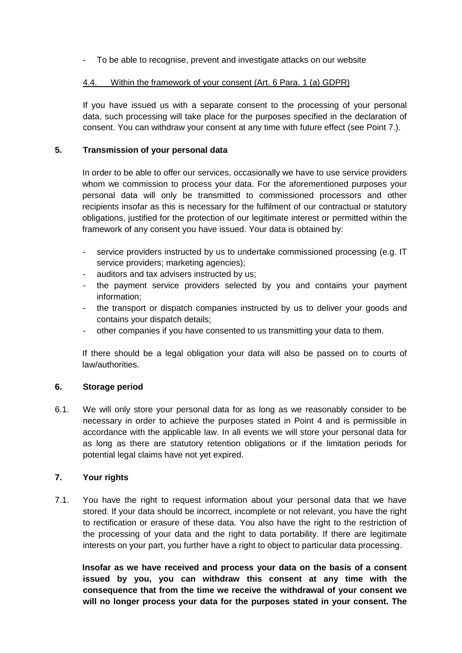To be able to recognise, prevent and investigate attacks on our website

## 4.4. Within the framework of your consent (Art. 6 Para. 1 (a) GDPR)

If you have issued us with a separate consent to the processing of your personal data, such processing will take place for the purposes specified in the declaration of consent. You can withdraw your consent at any time with future effect (see Point 7.).

## **5. Transmission of your personal data**

In order to be able to offer our services, occasionally we have to use service providers whom we commission to process your data. For the aforementioned purposes your personal data will only be transmitted to commissioned processors and other recipients insofar as this is necessary for the fulfilment of our contractual or statutory obligations, justified for the protection of our legitimate interest or permitted within the framework of any consent you have issued. Your data is obtained by:

- service providers instructed by us to undertake commissioned processing (e.g. IT service providers; marketing agencies);
- auditors and tax advisers instructed by us;
- the payment service providers selected by you and contains your payment information;
- the transport or dispatch companies instructed by us to deliver your goods and contains your dispatch details;
- other companies if you have consented to us transmitting your data to them.

If there should be a legal obligation your data will also be passed on to courts of law/authorities.

# **6. Storage period**

6.1. We will only store your personal data for as long as we reasonably consider to be necessary in order to achieve the purposes stated in Point 4 and is permissible in accordance with the applicable law. In all events we will store your personal data for as long as there are statutory retention obligations or if the limitation periods for potential legal claims have not yet expired.

#### **7. Your rights**

7.1. You have the right to request information about your personal data that we have stored. If your data should be incorrect, incomplete or not relevant, you have the right to rectification or erasure of these data. You also have the right to the restriction of the processing of your data and the right to data portability. If there are legitimate interests on your part, you further have a right to object to particular data processing.

**Insofar as we have received and process your data on the basis of a consent issued by you, you can withdraw this consent at any time with the consequence that from the time we receive the withdrawal of your consent we will no longer process your data for the purposes stated in your consent. The**